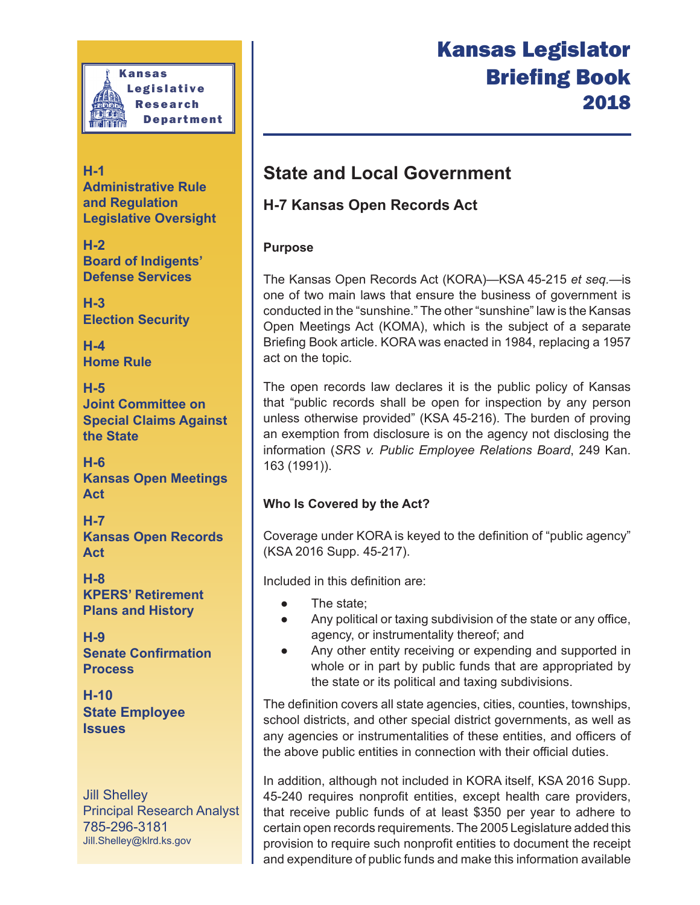

**H-1 Administrative Rule and Regulation Legislative Oversight**

**H-2 Board of Indigents' Defense Services**

**H-3 Election Security**

**H-4 Home Rule**

**H-5 Joint Committee on Special Claims Against the State**

**H-6 Kansas Open Meetings Act**

**H-7 Kansas Open Records Act**

**H-8 KPERS' Retirement Plans and History**

**H-9 Senate Confirmation Process**

**H-10 State Employee Issues**

Jill Shelley **Principal Research Analyst** 785-296-3181 Jill.Shelley@klrd.ks.gov

# Kansas Legislator **Briefing Book** 2018

## **State and Local Government**

## **H-7 Kansas Open Records Act**

#### **Purpose**

The Kansas Open Records Act (KORA)—KSA 45-215 et seg.—is one of two main laws that ensure the business of government is conducted in the "sunshine." The other "sunshine" law is the Kansas Open Meetings Act (KOMA), which is the subject of a separate Briefing Book article. KORA was enacted in 1984, replacing a 1957 act on the topic.

The open records law declares it is the public policy of Kansas that "public records shall be open for inspection by any person unless otherwise provided" (KSA 45-216). The burden of proving an exemption from disclosure is on the agency not disclosing the information (SRS v. Public Employee Relations Board, 249 Kan. 163 (1991)).

### **Who Is Covered by the Act?**

Coverage under KORA is keyed to the definition of "public agency" (KSA 2016 Supp. 45-217).

Included in this definition are:

- The state;
- Any political or taxing subdivision of the state or any office, agency, or instrumentality thereof; and
- Any other entity receiving or expending and supported in whole or in part by public funds that are appropriated by the state or its political and taxing subdivisions.

The definition covers all state agencies, cities, counties, townships, school districts, and other special district governments, as well as any agencies or instrumentalities of these entities, and officers of the above public entities in connection with their official duties.

In addition, although not included in KORA itself, KSA 2016 Supp. 45-240 requires nonprofit entities, except health care providers, that receive public funds of at least \$350 per year to adhere to certain open records requirements. The 2005 Legislature added this provision to require such nonprofit entities to document the receipt and expenditure of public funds and make this information available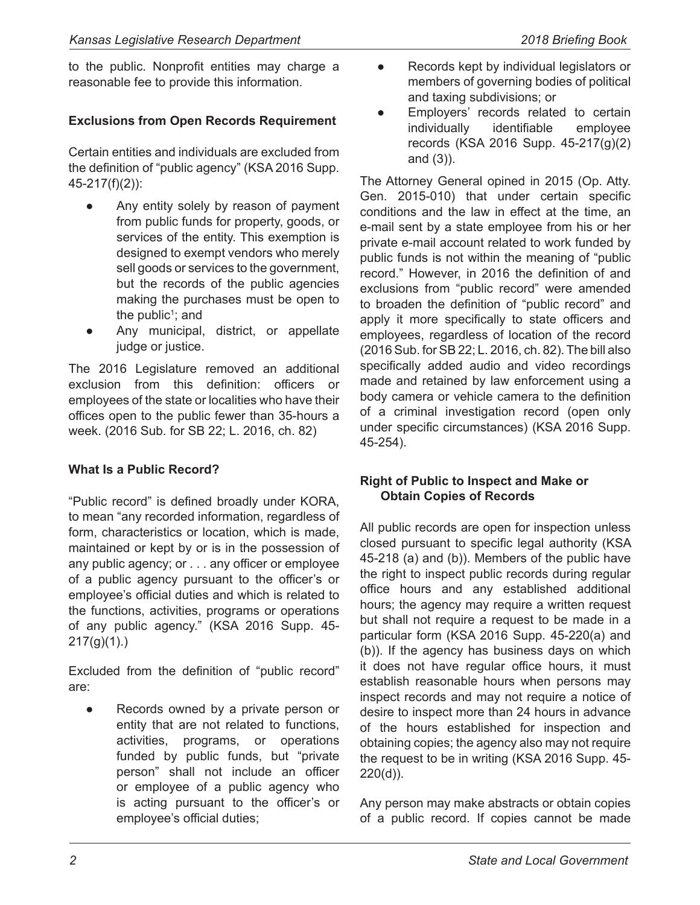to the public. Nonprofit entities may charge a reasonable fee to provide this information.

#### **Exclusions from Open Records Requirement**

Certain entities and individuals are excluded from the definition of "public agency" (KSA 2016 Supp.  $45-217(f)(2)$ :

- Any entity solely by reason of payment from public funds for property, goods, or services of the entity. This exemption is designed to exempt vendors who merely sell goods or services to the government, but the records of the public agencies making the purchases must be open to the public<sup>1</sup>; and
- Any municipal, district, or appellate judge or justice.

The 2016 Legislature removed an additional exclusion from this definition: officers or employees of the state or localities who have their offices open to the public fewer than 35-hours a week. (2016 Sub. for SB 22; L. 2016, ch. 82)

#### **What Is a Public Record?**

"Public record" is defined broadly under KORA, to mean "any recorded information, regardless of form, characteristics or location, which is made, maintained or kept by or is in the possession of any public agency; or  $\dots$  any officer or employee of a public agency pursuant to the officer's or employee's official duties and which is related to the functions, activities, programs or operations of any public agency." (KSA 2016 Supp. 45- $217(g)(1)$ .)

Excluded from the definition of "public record" are:

Records owned by a private person or entity that are not related to functions, activities, programs, or operations funded by public funds, but "private person" shall not include an officer or employee of a public agency who is acting pursuant to the officer's or employee's official duties;

- Records kept by individual legislators or members of governing bodies of political and taxing subdivisions; or
- Employers' records related to certain individually identifiable employee records (KSA 2016 Supp.  $45-217(g)(2)$ and  $(3)$ ).

The Attorney General opined in 2015 (Op. Atty. Gen. 2015-010) that under certain specific conditions and the law in effect at the time, an e-mail sent by a state employee from his or her private e-mail account related to work funded by public funds is not within the meaning of "public record." However, in 2016 the definition of and exclusions from "public record" were amended to broaden the definition of "public record" and apply it more specifically to state officers and employees, regardless of location of the record (2016 Sub. for SB 22; L. 2016, ch. 82). The bill also specifically added audio and video recordings made and retained by law enforcement using a body camera or vehicle camera to the definition of a criminal investigation record (open only under specific circumstances) (KSA 2016 Supp.  $45 - 254$ ).

#### **Right of Public to Inspect and Make or Obtain Copies of Records**

All public records are open for inspection unless closed pursuant to specific legal authority (KSA 45-218 (a) and (b)). Members of the public have the right to inspect public records during regular office hours and any established additional hours; the agency may require a written request but shall not require a request to be made in a particular form (KSA 2016 Supp. 45-220(a) and  $(b)$ ). If the agency has business days on which it does not have regular office hours, it must establish reasonable hours when persons may inspect records and may not require a notice of desire to inspect more than 24 hours in advance of the hours established for inspection and obtaining copies; the agency also may not require the request to be in writing (KSA 2016 Supp. 45- $220(d)$ ).

Any person may make abstracts or obtain copies of a public record. If copies cannot be made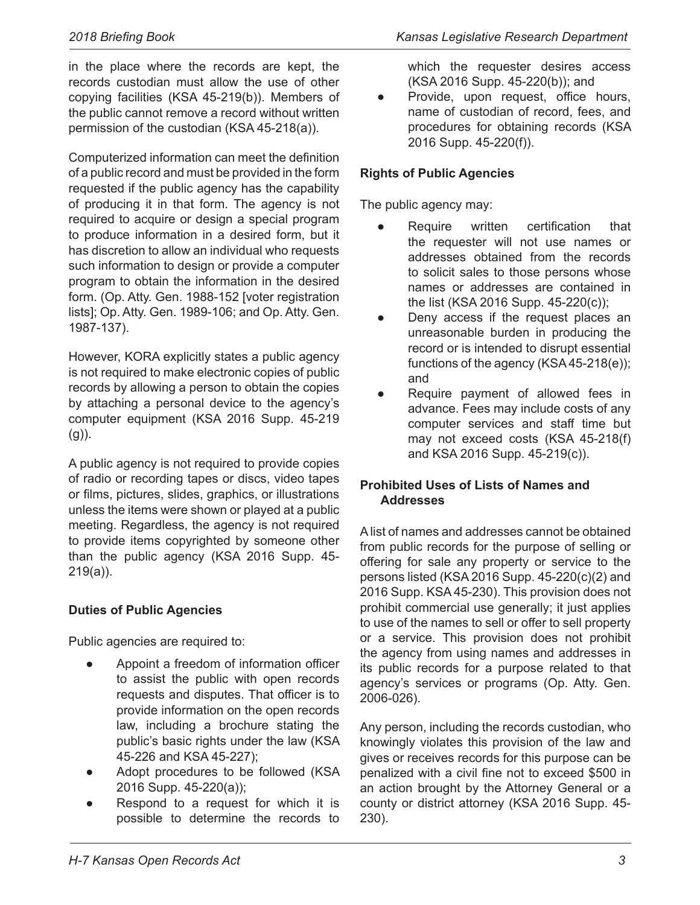in the place where the records are kept, the records custodian must allow the use of other copying facilities (KSA 45-219(b)). Members of the public cannot remove a record without written permission of the custodian (KSA  $45-218(a)$ ).

Computerized information can meet the definition of a public record and must be provided in the form requested if the public agency has the capability of producing it in that form. The agency is not required to acquire or design a special program to produce information in a desired form, but it has discretion to allow an individual who requests such information to design or provide a computer program to obtain the information in the desired form. (Op. Atty. Gen. 1988-152 [voter registration lists]; Op. Atty. Gen. 1989-106; and Op. Atty. Gen. 1987-137).

However, KORA explicitly states a public agency is not required to make electronic copies of public records by allowing a person to obtain the copies by attaching a personal device to the agency's computer equipment (KSA 2016 Supp. 45-219  $(g)$ ).

A public agency is not required to provide copies of radio or recording tapes or discs, video tapes or films, pictures, slides, graphics, or illustrations unless the items were shown or played at a public meeting. Regardless, the agency is not required to provide items copyrighted by someone other than the public agency (KSA 2016 Supp.  $45$ - $219(a)$ ).

#### **Duties of Public Agencies**

Public agencies are required to:

- Appoint a freedom of information officer to assist the public with open records requests and disputes. That officer is to provide information on the open records law, including a brochure stating the public's basic rights under the law (KSA 45-226 and KSA 45-227);
- Adopt procedures to be followed (KSA 2016 Supp. 45-220(a));
- Respond to a request for which it is possible to determine the records to

which the requester desires access (KSA 2016 Supp. 45-220(b)); and

Provide, upon request, office hours, name of custodian of record, fees, and procedures for obtaining records (KSA 2016 Supp. 45-220(f)).

#### **Rights of Public Agencies**

The public agency may:

- Require written certification that the requester will not use names or addresses obtained from the records to solicit sales to those persons whose names or addresses are contained in the list (KSA 2016 Supp. 45-220(c));
- Deny access if the request places an unreasonable burden in producing the record or is intended to disrupt essential functions of the agency (KSA 45-218(e)); and
- Require payment of allowed fees in advance. Fees may include costs of any computer services and staff time but may not exceed costs (KSA  $45-218(f)$ and KSA 2016 Supp. 45-219(c)).

#### **Prohibited Uses of Lists of Names and Addresses**

A list of names and addresses cannot be obtained from public records for the purpose of selling or offering for sale any property or service to the persons listed (KSA 2016 Supp.  $45-220(c)(2)$  and 2016 Supp. KSA 45-230). This provision does not prohibit commercial use generally; it just applies to use of the names to sell or offer to sell property or a service. This provision does not prohibit the agency from using names and addresses in its public records for a purpose related to that agency's services or programs (Op. Atty. Gen. 2006-026).

Any person, including the records custodian, who knowingly violates this provision of the law and gives or receives records for this purpose can be penalized with a civil fine not to exceed \$500 in an action brought by the Attorney General or a county or district attorney (KSA 2016 Supp. 45- $230$ ).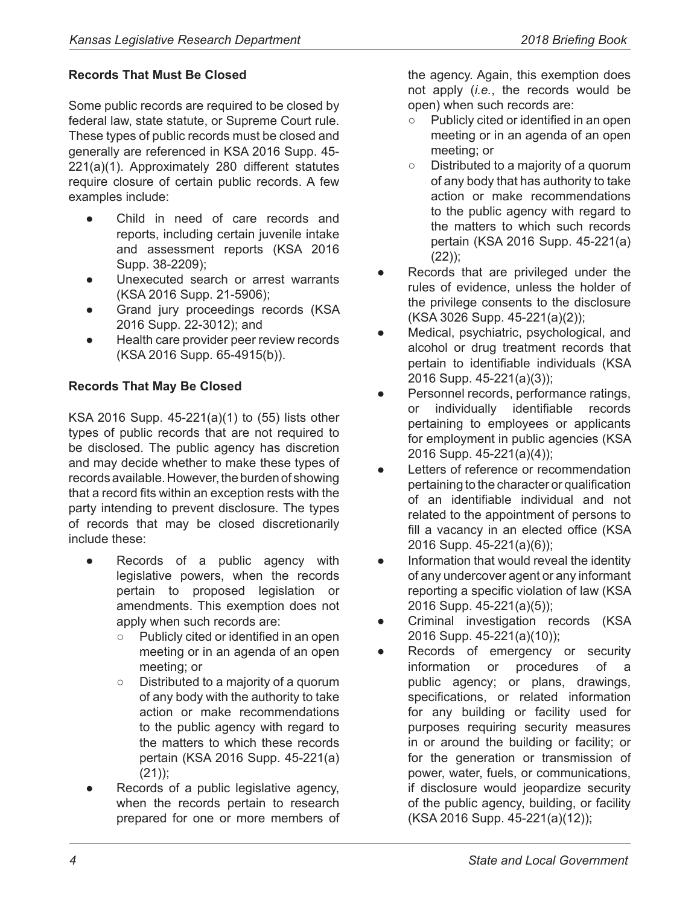#### **Records That Must Be Closed**

Some public records are required to be closed by federal law, state statute, or Supreme Court rule. These types of public records must be closed and generally are referenced in KSA 2016 Supp. 45-  $221(a)(1)$ . Approximately 280 different statutes require closure of certain public records. A few examples include:

- Child in need of care records and reports, including certain juvenile intake and assessment reports (KSA 2016 Supp. 38-2209);
- Unexecuted search or arrest warrants (KSA 2016 Supp. 21-5906);
- Grand jury proceedings records (KSA 2016 Supp. 22-3012); and
- Health care provider peer review records (KSA 2016 Supp. 65-4915(b)).

#### **Records That May Be Closed**

 $KSA$  2016 Supp. 45-221(a)(1) to (55) lists other types of public records that are not required to be disclosed. The public agency has discretion and may decide whether to make these types of records available. However, the burden of showing that a record fits within an exception rests with the party intending to prevent disclosure. The types of records that may be closed discretionarily include these:

- Records of a public agency with legislative powers, when the records pertain to proposed legislation or amendments. This exemption does not apply when such records are:
	- $\circ$  Publicly cited or identified in an open meeting or in an agenda of an open meeting; or
	- $\circ$  Distributed to a majority of a quorum of any body with the authority to take action or make recommendations to the public agency with regard to the matters to which these records pertain (KSA 2016 Supp.  $45-221(a)$  $(21)$ ;
- Records of a public legislative agency, when the records pertain to research prepared for one or more members of

the agency. Again, this exemption does not apply (*i.e.*, the records would be open) when such records are:

- $\circ$  Publicly cited or identified in an open meeting or in an agenda of an open meeting; or
- $\circ$  Distributed to a majority of a quorum of any body that has authority to take action or make recommendations to the public agency with regard to the matters to which such records pertain (KSA 2016 Supp.  $45-221(a)$ )  $(22)$ :
- Records that are privileged under the rules of evidence, unless the holder of the privilege consents to the disclosure (KSA 3026 Supp. 45-221(a)(2));
- Medical, psychiatric, psychological, and alcohol or drug treatment records that pertain to identifiable individuals (KSA 2016 Supp. 45-221(a)(3));
- Personnel records, performance ratings, or individually identifiable records pertaining to employees or applicants for employment in public agencies (KSA 2016 Supp. 45-221(a)(4));
- Letters of reference or recommendation pertaining to the character or qualification of an identifiable individual and not related to the appointment of persons to fill a vacancy in an elected office (KSA 2016 Supp. 45-221(a)(6));
- Information that would reveal the identity of any undercover agent or any informant reporting a specific violation of law (KSA 2016 Supp. 45-221(a)(5));
- Criminal investigation records (KSA 2016 Supp. 45-221(a)(10));
- Records of emergency or security information or procedures of public agency; or plans, drawings, specifications, or related information for any building or facility used for purposes requiring security measures in or around the building or facility; or for the generation or transmission of power, water, fuels, or communications, if disclosure would jeopardize security of the public agency, building, or facility (KSA 2016 Supp. 45-221(a)(12));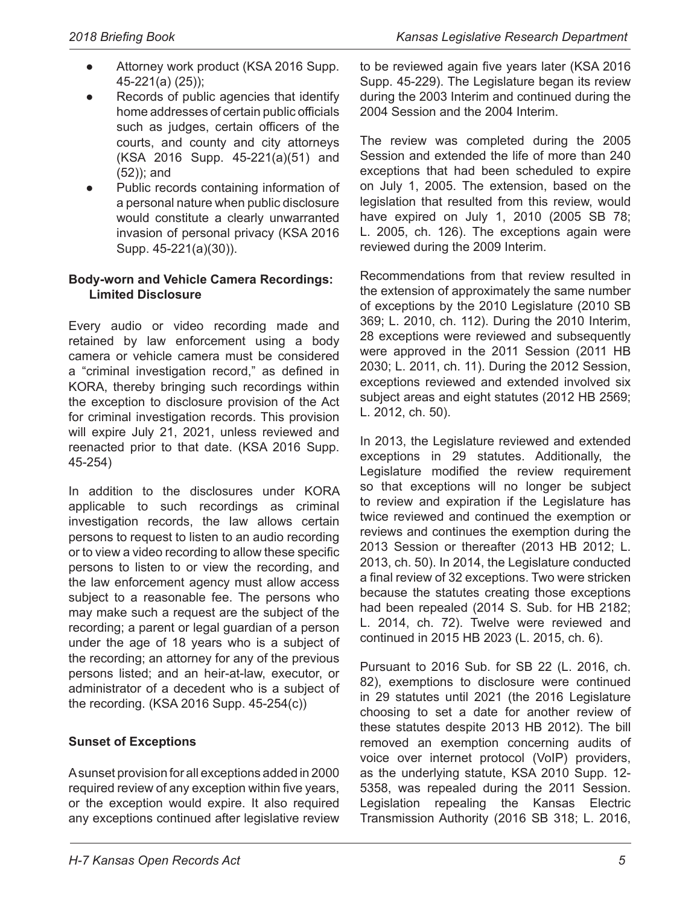- Attorney work product (KSA 2016 Supp.  $45-221(a) (25)$ ;
- Records of public agencies that identify home addresses of certain public officials such as judges, certain officers of the courts, and county and city attorneys  $(KSA$  2016 Supp. 45-221(a)(51) and  $(52)$ ; and
- Public records containing information of a personal nature when public disclosure would constitute a clearly unwarranted invasion of personal privacy (KSA 2016 Supp. 45-221(a)(30)).

#### **Body-worn and Vehicle Camera Recordings: Limited Disclosure**

Every audio or video recording made and retained by law enforcement using a body camera or vehicle camera must be considered a "criminal investigation record," as defined in KORA, thereby bringing such recordings within the exception to disclosure provision of the Act for criminal investigation records. This provision will expire July 21, 2021, unless reviewed and reenacted prior to that date. (KSA 2016 Supp.  $45 - 254$ 

In addition to the disclosures under KORA applicable to such recordings as criminal investigation records, the law allows certain persons to request to listen to an audio recording or to view a video recording to allow these specific persons to listen to or view the recording, and the law enforcement agency must allow access subject to a reasonable fee. The persons who may make such a request are the subject of the recording; a parent or legal guardian of a person under the age of 18 years who is a subject of the recording; an attorney for any of the previous persons listed; and an heir-at-law, executor, or administrator of a decedent who is a subject of the recording.  $(KSA 2016 Supp. 45-254(c))$ 

#### **Sunset of Exceptions**

A sunset provision for all exceptions added in 2000 required review of any exception within five years, or the exception would expire. It also required any exceptions continued after legislative review to be reviewed again five years later (KSA 2016) Supp. 45-229). The Legislature began its review during the 2003 Interim and continued during the 2004 Session and the 2004 Interim.

The review was completed during the 2005 Session and extended the life of more than 240 exceptions that had been scheduled to expire on July 1, 2005. The extension, based on the legislation that resulted from this review, would have expired on July 1, 2010 (2005 SB 78; L. 2005, ch. 126). The exceptions again were reviewed during the 2009 Interim.

Recommendations from that review resulted in the extension of approximately the same number of exceptions by the 2010 Legislature (2010 SB 369; L. 2010, ch. 112). During the 2010 Interim, 28 exceptions were reviewed and subsequently were approved in the 2011 Session (2011 HB 2030; L. 2011, ch. 11). During the 2012 Session, exceptions reviewed and extended involved six subject areas and eight statutes (2012 HB 2569; L. 2012, ch. 50).

In 2013, the Legislature reviewed and extended exceptions in 29 statutes. Additionally, the Legislature modified the review requirement so that exceptions will no longer be subject to review and expiration if the Legislature has twice reviewed and continued the exemption or reviews and continues the exemption during the 2013 Session or thereafter (2013 HB 2012; L. 2013, ch. 50). In 2014, the Legislature conducted a final review of 32 exceptions. Two were stricken because the statutes creating those exceptions had been repealed (2014 S. Sub. for HB 2182; L. 2014, ch. 72). Twelve were reviewed and continued in 2015 HB 2023 (L. 2015, ch. 6).

Pursuant to 2016 Sub. for SB 22 (L. 2016, ch. 82), exemptions to disclosure were continued in 29 statutes until 2021 (the 2016 Legislature choosing to set a date for another review of these statutes despite 2013 HB 2012). The bill removed an exemption concerning audits of voice over internet protocol (VoIP) providers, as the underlying statute, KSA 2010 Supp. 12- 5358, was repealed during the 2011 Session. Legislation repealing the Kansas Electric Transmission Authority (2016 SB 318; L. 2016,